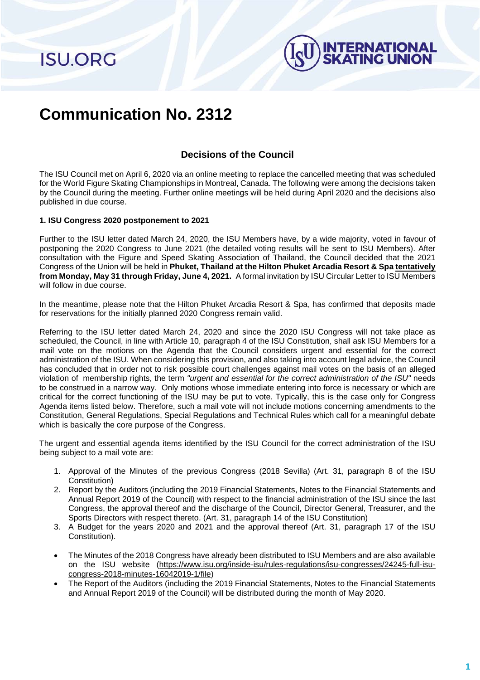**ISU.ORG** 



# **Communication No. 2312**

## **Decisions of the Council**

The ISU Council met on April 6, 2020 via an online meeting to replace the cancelled meeting that was scheduled for the World Figure Skating Championships in Montreal, Canada. The following were among the decisions taken by the Council during the meeting. Further online meetings will be held during April 2020 and the decisions also published in due course.

## **1. ISU Congress 2020 postponement to 2021**

Further to the ISU letter dated March 24, 2020, the ISU Members have, by a wide majority, voted in favour of postponing the 2020 Congress to June 2021 (the detailed voting results will be sent to ISU Members). After consultation with the Figure and Speed Skating Association of Thailand, the Council decided that the 2021 Congress of the Union will be held in **Phuket, Thailand at the Hilton Phuket Arcadia Resort & Spa tentatively from Monday, May 31 through Friday, June 4, 2021.** A formal invitation by ISU Circular Letter to ISU Members will follow in due course.

In the meantime, please note that the Hilton Phuket Arcadia Resort & Spa, has confirmed that deposits made for reservations for the initially planned 2020 Congress remain valid.

Referring to the ISU letter dated March 24, 2020 and since the 2020 ISU Congress will not take place as scheduled, the Council, in line with Article 10, paragraph 4 of the ISU Constitution, shall ask ISU Members for a mail vote on the motions on the Agenda that the Council considers urgent and essential for the correct administration of the ISU. When considering this provision, and also taking into account legal advice, the Council has concluded that in order not to risk possible court challenges against mail votes on the basis of an alleged violation of membership rights, the term *"urgent and essential for the correct administration of the ISU"* needs to be construed in a narrow way. Only motions whose immediate entering into force is necessary or which are critical for the correct functioning of the ISU may be put to vote. Typically, this is the case only for Congress Agenda items listed below. Therefore, such a mail vote will not include motions concerning amendments to the Constitution, General Regulations, Special Regulations and Technical Rules which call for a meaningful debate which is basically the core purpose of the Congress.

The urgent and essential agenda items identified by the ISU Council for the correct administration of the ISU being subject to a mail vote are:

- 1. Approval of the Minutes of the previous Congress (2018 Sevilla) (Art. 31, paragraph 8 of the ISU Constitution)
- 2. Report by the Auditors (including the 2019 Financial Statements, Notes to the Financial Statements and Annual Report 2019 of the Council) with respect to the financial administration of the ISU since the last Congress, the approval thereof and the discharge of the Council, Director General, Treasurer, and the Sports Directors with respect thereto. (Art. 31, paragraph 14 of the ISU Constitution)
- 3. A Budget for the years 2020 and 2021 and the approval thereof (Art. 31, paragraph 17 of the ISU Constitution).
- The Minutes of the 2018 Congress have already been distributed to ISU Members and are also available on the ISU website [\(https://www.isu.org/inside-isu/rules-regulations/isu-congresses/24245-full-isu](https://www.isu.org/inside-isu/rules-regulations/isu-congresses/24245-full-isu-congress-2018-minutes-16042019-1/file)[congress-2018-minutes-16042019-1/file\)](https://www.isu.org/inside-isu/rules-regulations/isu-congresses/24245-full-isu-congress-2018-minutes-16042019-1/file)
- The Report of the Auditors (including the 2019 Financial Statements, Notes to the Financial Statements and Annual Report 2019 of the Council) will be distributed during the month of May 2020.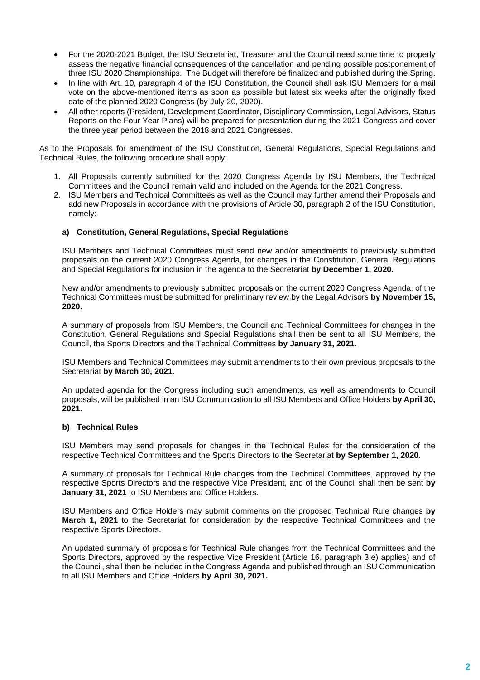- For the 2020-2021 Budget, the ISU Secretariat, Treasurer and the Council need some time to properly assess the negative financial consequences of the cancellation and pending possible postponement of three ISU 2020 Championships. The Budget will therefore be finalized and published during the Spring.
- In line with Art. 10, paragraph 4 of the ISU Constitution, the Council shall ask ISU Members for a mail vote on the above-mentioned items as soon as possible but latest six weeks after the originally fixed date of the planned 2020 Congress (by July 20, 2020).
- All other reports (President, Development Coordinator, Disciplinary Commission, Legal Advisors, Status Reports on the Four Year Plans) will be prepared for presentation during the 2021 Congress and cover the three year period between the 2018 and 2021 Congresses.

As to the Proposals for amendment of the ISU Constitution, General Regulations, Special Regulations and Technical Rules, the following procedure shall apply:

- 1. All Proposals currently submitted for the 2020 Congress Agenda by ISU Members, the Technical Committees and the Council remain valid and included on the Agenda for the 2021 Congress.
- 2. ISU Members and Technical Committees as well as the Council may further amend their Proposals and add new Proposals in accordance with the provisions of Article 30, paragraph 2 of the ISU Constitution, namely:

## **a) Constitution, General Regulations, Special Regulations**

ISU Members and Technical Committees must send new and/or amendments to previously submitted proposals on the current 2020 Congress Agenda, for changes in the Constitution, General Regulations and Special Regulations for inclusion in the agenda to the Secretariat **by December 1, 2020.** 

New and/or amendments to previously submitted proposals on the current 2020 Congress Agenda, of the Technical Committees must be submitted for preliminary review by the Legal Advisors **by November 15, 2020.** 

A summary of proposals from ISU Members, the Council and Technical Committees for changes in the Constitution, General Regulations and Special Regulations shall then be sent to all ISU Members, the Council, the Sports Directors and the Technical Committees **by January 31, 2021.** 

ISU Members and Technical Committees may submit amendments to their own previous proposals to the Secretariat **by March 30, 2021**.

An updated agenda for the Congress including such amendments, as well as amendments to Council proposals, will be published in an ISU Communication to all ISU Members and Office Holders **by April 30, 2021.**

#### **b) Technical Rules**

ISU Members may send proposals for changes in the Technical Rules for the consideration of the respective Technical Committees and the Sports Directors to the Secretariat **by September 1, 2020.** 

A summary of proposals for Technical Rule changes from the Technical Committees, approved by the respective Sports Directors and the respective Vice President, and of the Council shall then be sent **by January 31, 2021** to ISU Members and Office Holders.

ISU Members and Office Holders may submit comments on the proposed Technical Rule changes **by March 1, 2021** to the Secretariat for consideration by the respective Technical Committees and the respective Sports Directors.

An updated summary of proposals for Technical Rule changes from the Technical Committees and the Sports Directors, approved by the respective Vice President (Article 16, paragraph 3.e) applies) and of the Council, shall then be included in the Congress Agenda and published through an ISU Communication to all ISU Members and Office Holders **by April 30, 2021.**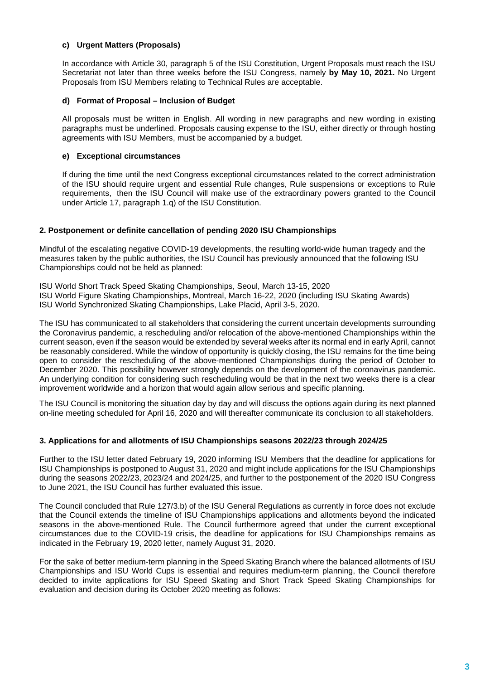## **c) Urgent Matters (Proposals)**

In accordance with Article 30, paragraph 5 of the ISU Constitution, Urgent Proposals must reach the ISU Secretariat not later than three weeks before the ISU Congress, namely **by May 10, 2021.** No Urgent Proposals from ISU Members relating to Technical Rules are acceptable.

## **d) Format of Proposal – Inclusion of Budget**

All proposals must be written in English. All wording in new paragraphs and new wording in existing paragraphs must be underlined. Proposals causing expense to the ISU, either directly or through hosting agreements with ISU Members, must be accompanied by a budget.

## **e) Exceptional circumstances**

If during the time until the next Congress exceptional circumstances related to the correct administration of the ISU should require urgent and essential Rule changes, Rule suspensions or exceptions to Rule requirements, then the ISU Council will make use of the extraordinary powers granted to the Council under Article 17, paragraph 1.q) of the ISU Constitution.

## **2. Postponement or definite cancellation of pending 2020 ISU Championships**

Mindful of the escalating negative COVID-19 developments, the resulting world-wide human tragedy and the measures taken by the public authorities, the ISU Council has previously announced that the following ISU Championships could not be held as planned:

ISU World Short Track Speed Skating Championships, Seoul, March 13-15, 2020

ISU World Figure Skating Championships, Montreal, March 16-22, 2020 (including ISU Skating Awards)

ISU World Synchronized Skating Championships, Lake Placid, April 3-5, 2020.

The ISU has communicated to all stakeholders that considering the current uncertain developments surrounding the Coronavirus pandemic, a rescheduling and/or relocation of the above-mentioned Championships within the current season, even if the season would be extended by several weeks after its normal end in early April, cannot be reasonably considered. While the window of opportunity is quickly closing, the ISU remains for the time being open to consider the rescheduling of the above-mentioned Championships during the period of October to December 2020. This possibility however strongly depends on the development of the coronavirus pandemic. An underlying condition for considering such rescheduling would be that in the next two weeks there is a clear improvement worldwide and a horizon that would again allow serious and specific planning.

The ISU Council is monitoring the situation day by day and will discuss the options again during its next planned on-line meeting scheduled for April 16, 2020 and will thereafter communicate its conclusion to all stakeholders.

## **3. Applications for and allotments of ISU Championships seasons 2022/23 through 2024/25**

Further to the ISU letter dated February 19, 2020 informing ISU Members that the deadline for applications for ISU Championships is postponed to August 31, 2020 and might include applications for the ISU Championships during the seasons 2022/23, 2023/24 and 2024/25, and further to the postponement of the 2020 ISU Congress to June 2021, the ISU Council has further evaluated this issue.

The Council concluded that Rule 127/3.b) of the ISU General Regulations as currently in force does not exclude that the Council extends the timeline of ISU Championships applications and allotments beyond the indicated seasons in the above-mentioned Rule. The Council furthermore agreed that under the current exceptional circumstances due to the COVID-19 crisis, the deadline for applications for ISU Championships remains as indicated in the February 19, 2020 letter, namely August 31, 2020.

For the sake of better medium-term planning in the Speed Skating Branch where the balanced allotments of ISU Championships and ISU World Cups is essential and requires medium-term planning, the Council therefore decided to invite applications for ISU Speed Skating and Short Track Speed Skating Championships for evaluation and decision during its October 2020 meeting as follows: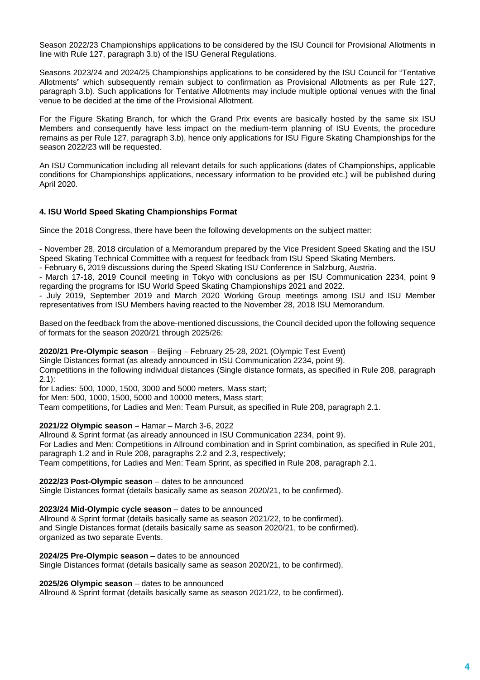Season 2022/23 Championships applications to be considered by the ISU Council for Provisional Allotments in line with Rule 127, paragraph 3.b) of the ISU General Regulations.

Seasons 2023/24 and 2024/25 Championships applications to be considered by the ISU Council for "Tentative Allotments" which subsequently remain subject to confirmation as Provisional Allotments as per Rule 127, paragraph 3.b). Such applications for Tentative Allotments may include multiple optional venues with the final venue to be decided at the time of the Provisional Allotment.

For the Figure Skating Branch, for which the Grand Prix events are basically hosted by the same six ISU Members and consequently have less impact on the medium-term planning of ISU Events, the procedure remains as per Rule 127, paragraph 3.b), hence only applications for ISU Figure Skating Championships for the season 2022/23 will be requested.

An ISU Communication including all relevant details for such applications (dates of Championships, applicable conditions for Championships applications, necessary information to be provided etc.) will be published during April 2020.

## **4. ISU World Speed Skating Championships Format**

Since the 2018 Congress, there have been the following developments on the subject matter:

- November 28, 2018 circulation of a Memorandum prepared by the Vice President Speed Skating and the ISU Speed Skating Technical Committee with a request for feedback from ISU Speed Skating Members.

- February 6, 2019 discussions during the Speed Skating ISU Conference in Salzburg, Austria.

- March 17-18, 2019 Council meeting in Tokyo with conclusions as per ISU Communication 2234, point 9 regarding the programs for ISU World Speed Skating Championships 2021 and 2022.

- July 2019, September 2019 and March 2020 Working Group meetings among ISU and ISU Member representatives from ISU Members having reacted to the November 28, 2018 ISU Memorandum.

Based on the feedback from the above-mentioned discussions, the Council decided upon the following sequence of formats for the season 2020/21 through 2025/26:

## **2020/21 Pre-Olympic season** – Beijing – February 25-28, 2021 (Olympic Test Event)

Single Distances format (as already announced in ISU Communication 2234, point 9).

Competitions in the following individual distances (Single distance formats, as specified in Rule 208, paragraph 2.1):

for Ladies: 500, 1000, 1500, 3000 and 5000 meters, Mass start;

for Men: 500, 1000, 1500, 5000 and 10000 meters, Mass start;

Team competitions, for Ladies and Men: Team Pursuit, as specified in Rule 208, paragraph 2.1.

## **2021/22 Olympic season –** Hamar – March 3-6, 2022

Allround & Sprint format (as already announced in ISU Communication 2234, point 9). For Ladies and Men: Competitions in Allround combination and in Sprint combination, as specified in Rule 201, paragraph 1.2 and in Rule 208, paragraphs 2.2 and 2.3, respectively; Team competitions, for Ladies and Men: Team Sprint, as specified in Rule 208, paragraph 2.1.

## **2022/23 Post-Olympic season** – dates to be announced

Single Distances format (details basically same as season 2020/21, to be confirmed).

## **2023/24 Mid-Olympic cycle season** – dates to be announced

Allround & Sprint format (details basically same as season 2021/22, to be confirmed). and Single Distances format (details basically same as season 2020/21, to be confirmed). organized as two separate Events.

**2024/25 Pre-Olympic season** – dates to be announced

Single Distances format (details basically same as season 2020/21, to be confirmed).

**2025/26 Olympic season** – dates to be announced

Allround & Sprint format (details basically same as season 2021/22, to be confirmed).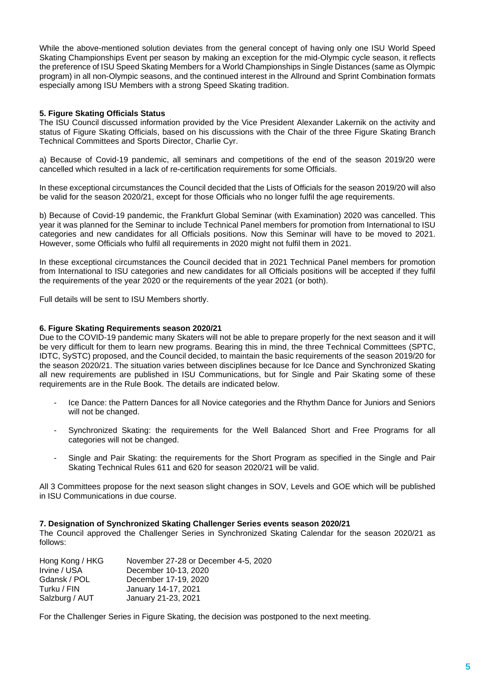While the above-mentioned solution deviates from the general concept of having only one ISU World Speed Skating Championships Event per season by making an exception for the mid-Olympic cycle season, it reflects the preference of ISU Speed Skating Members for a World Championships in Single Distances (same as Olympic program) in all non-Olympic seasons, and the continued interest in the Allround and Sprint Combination formats especially among ISU Members with a strong Speed Skating tradition.

## **5. Figure Skating Officials Status**

The ISU Council discussed information provided by the Vice President Alexander Lakernik on the activity and status of Figure Skating Officials, based on his discussions with the Chair of the three Figure Skating Branch Technical Committees and Sports Director, Charlie Cyr.

a) Because of Covid-19 pandemic, all seminars and competitions of the end of the season 2019/20 were cancelled which resulted in a lack of re-certification requirements for some Officials.

In these exceptional circumstances the Council decided that the Lists of Officials for the season 2019/20 will also be valid for the season 2020/21, except for those Officials who no longer fulfil the age requirements.

b) Because of Covid-19 pandemic, the Frankfurt Global Seminar (with Examination) 2020 was cancelled. This year it was planned for the Seminar to include Technical Panel members for promotion from International to ISU categories and new candidates for all Officials positions. Now this Seminar will have to be moved to 2021. However, some Officials who fulfil all requirements in 2020 might not fulfil them in 2021.

In these exceptional circumstances the Council decided that in 2021 Technical Panel members for promotion from International to ISU categories and new candidates for all Officials positions will be accepted if they fulfil the requirements of the year 2020 or the requirements of the year 2021 (or both).

Full details will be sent to ISU Members shortly.

## **6. Figure Skating Requirements season 2020/21**

Due to the COVID-19 pandemic many Skaters will not be able to prepare properly for the next season and it will be very difficult for them to learn new programs. Bearing this in mind, the three Technical Committees (SPTC, IDTC, SySTC) proposed, and the Council decided, to maintain the basic requirements of the season 2019/20 for the season 2020/21. The situation varies between disciplines because for Ice Dance and Synchronized Skating all new requirements are published in ISU Communications, but for Single and Pair Skating some of these requirements are in the Rule Book. The details are indicated below.

- Ice Dance: the Pattern Dances for all Novice categories and the Rhythm Dance for Juniors and Seniors will not be changed.
- Synchronized Skating: the requirements for the Well Balanced Short and Free Programs for all categories will not be changed.
- Single and Pair Skating: the requirements for the Short Program as specified in the Single and Pair Skating Technical Rules 611 and 620 for season 2020/21 will be valid.

All 3 Committees propose for the next season slight changes in SOV, Levels and GOE which will be published in ISU Communications in due course.

#### **7. Designation of Synchronized Skating Challenger Series events season 2020/21**

The Council approved the Challenger Series in Synchronized Skating Calendar for the season 2020/21 as follows:

| Hong Kong / HKG | November 27-28 or December 4-5, 2020 |
|-----------------|--------------------------------------|
| Irvine / USA    | December 10-13, 2020                 |
| Gdansk / POL    | December 17-19, 2020                 |
| Turku / FIN     | January 14-17, 2021                  |
| Salzburg / AUT  | January 21-23, 2021                  |

For the Challenger Series in Figure Skating, the decision was postponed to the next meeting.